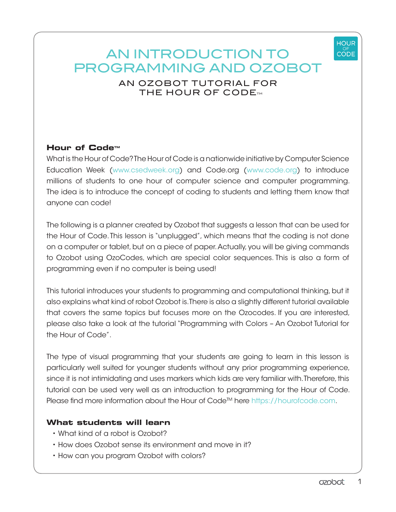

# AN INTRODUCTION TO PROGRAMMING AND OZOBOT

# AN OZOBOT TUTORIAL FOR THE HOUR OF CODE $_{\textrm{\tiny{TM}}}$

# **Hour of Code™**

What is the Hour of Code? The Hour of Code is a nationwide initiative by Computer Science Education Week (www.csedweek.org) and Code.org (www.code.org) to introduce millions of students to one hour of computer science and computer programming. The idea is to introduce the concept of coding to students and letting them know that anyone can code!

The following is a planner created by Ozobot that suggests a lesson that can be used for the Hour of Code. This lesson is "unplugged", which means that the coding is not done on a computer or tablet, but on a piece of paper. Actually, you will be giving commands to Ozobot using OzoCodes, which are special color sequences. This is also a form of programming even if no computer is being used!

This tutorial introduces your students to programming and computational thinking, but it also explains what kind of robot Ozobot is. There is also a slightly different tutorial available that covers the same topics but focuses more on the Ozocodes. If you are interested, please also take a look at the tutorial "Programming with Colors – An Ozobot Tutorial for the Hour of Code".

The type of visual programming that your students are going to learn in this lesson is particularly well suited for younger students without any prior programming experience, since it is not intimidating and uses markers which kids are very familiar with. Therefore, this tutorial can be used very well as an introduction to programming for the Hour of Code. Please find more information about the Hour of Code™ here https://hourofcode.com.

## **What students will learn**

- What kind of a robot is Ozobot?
- How does Ozobot sense its environment and move in it?
- How can you program Ozobot with colors?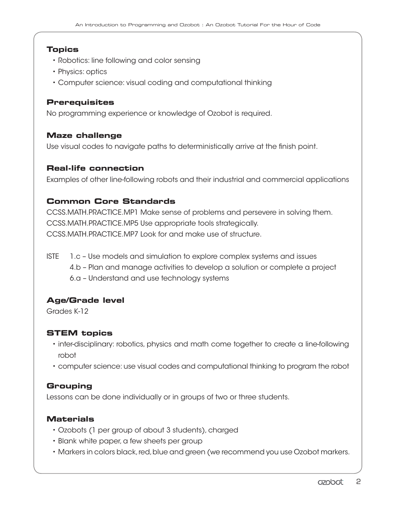## **Topics**

- Robotics: line following and color sensing
- Physics: optics
- Computer science: visual coding and computational thinking

## **Prerequisites**

No programming experience or knowledge of Ozobot is required.

## **Maze challenge**

Use visual codes to navigate paths to deterministically arrive at the finish point.

## **Real-life connection**

Examples of other line-following robots and their industrial and commercial applications

## **Common Core Standards**

CCSS.MATH.PRACTICE.MP1 Make sense of problems and persevere in solving them. CCSS.MATH.PRACTICE.MP5 Use appropriate tools strategically. CCSS.MATH.PRACTICE.MP7 Look for and make use of structure.

ISTE 1.c – Use models and simulation to explore complex systems and issues 4.b – Plan and manage activities to develop a solution or complete a project 6.a – Understand and use technology systems

## **Age/Grade level**

Grades K-12

## **STEM topics**

- inter-disciplinary: robotics, physics and math come together to create a line-following robot
- computer science: use visual codes and computational thinking to program the robot

## **Grouping**

Lessons can be done individually or in groups of two or three students.

#### **Materials**

- Ozobots (1 per group of about 3 students), charged
- Blank white paper, a few sheets per group
- Markers in colors black, red, blue and green (we recommend you use Ozobot markers.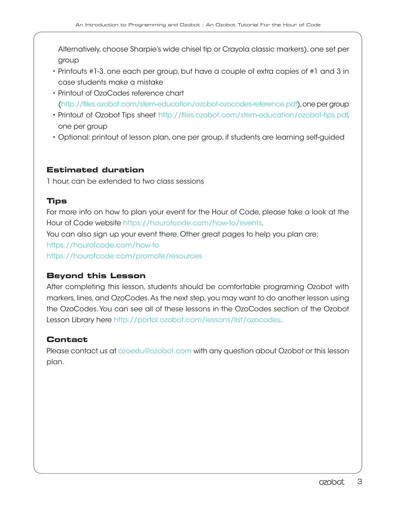Alternatively, choose Sharpie's wide chisel tip or Crayola classic markers), one set per group

- Printouts #1-3, one each per group, but have a couple of extra copies of #1 and 3 in case students make a mistake
- Printout of OzoCodes reference chart (http://files.ozobot.com/stem-education/ozobot-ozocodes-reference.pdf), one per group
- Printout of Ozobot Tips sheet http://files.ozobot.com/stem-education/ozobot-tips.pdf, one per group
- Optional: printout of lesson plan, one per group, if students are learning self-guided

## **Estimated duration**

1 hour, can be extended to two class sessions

## **Tips**

For more info on how to plan your event for the Hour of Code, please take a look at the Hour of Code website https://hourofcode.com/how-to/events.

You can also sign up your event there. Other great pages to help you plan are:

https://hourofcode.com/how-to

https://hourofcode.com/promote/resources

## **Beyond this Lesson**

After completing this lesson, students should be comfortable programing Ozobot with markers, lines, and OzoCodes. As the next step, you may want to do another lesson using the OzoCodes. You can see all of these lessons in the OzoCodes section of the Ozobot Lesson Library here http://portal.ozobot.com/lessons/list/ozocodes.

## **Contact**

Please contact us at ozoedu@ozobot.com with any question about Ozobot or this lesson plan.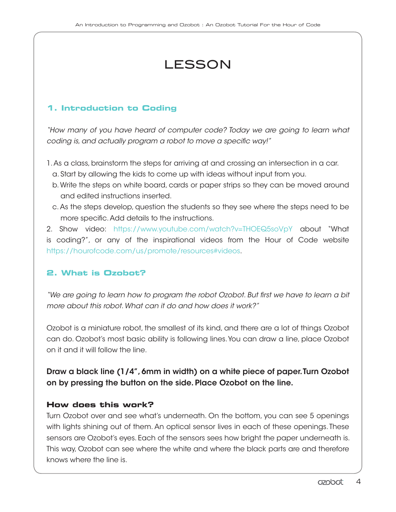# LESSON

## **1. Introduction to Coding**

*"How many of you have heard of computer code? Today we are going to learn what coding is, and actually program a robot to move a specific way!"*

- 1. As a class, brainstorm the steps for arriving at and crossing an intersection in a car. a. Start by allowing the kids to come up with ideas without input from you.
	- b. Write the steps on white board, cards or paper strips so they can be moved around and edited instructions inserted.
	- c. As the steps develop, question the students so they see where the steps need to be more specific. Add details to the instructions.

2. Show video: https://www.youtube.com/watch?v=THOEQ5soVpY about "What is coding?", or any of the inspirational videos from the Hour of Code website https://hourofcode.com/us/promote/resources#videos.

## **2. What is Ozobot?**

*"We are going to learn how to program the robot Ozobot. But first we have to learn a bit more about this robot. What can it do and how does it work?"*

Ozobot is a miniature robot, the smallest of its kind, and there are a lot of things Ozobot can do. Ozobot's most basic ability is following lines. You can draw a line, place Ozobot on it and it will follow the line.

# Draw a black line (1/4", 6mm in width) on a white piece of paper. Turn Ozobot on by pressing the button on the side. Place Ozobot on the line.

## **How does this work?**

Turn Ozobot over and see what's underneath. On the bottom, you can see 5 openings with lights shining out of them. An optical sensor lives in each of these openings. These sensors are Ozobot's eyes. Each of the sensors sees how bright the paper underneath is. This way, Ozobot can see where the white and where the black parts are and therefore knows where the line is.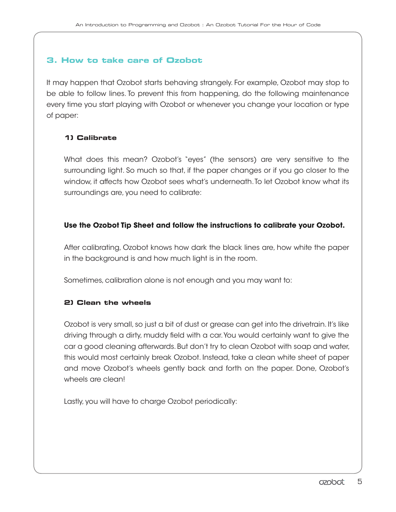## **3. How to take care of Ozobot**

It may happen that Ozobot starts behaving strangely. For example, Ozobot may stop to be able to follow lines. To prevent this from happening, do the following maintenance every time you start playing with Ozobot or whenever you change your location or type of paper:

## **1) Calibrate**

What does this mean? Ozobot's "eyes" (the sensors) are very sensitive to the surrounding light. So much so that, if the paper changes or if you go closer to the window, it affects how Ozobot sees what's underneath. To let Ozobot know what its surroundings are, you need to calibrate:

## **Use the Ozobot Tip Sheet and follow the instructions to calibrate your Ozobot.**

After calibrating, Ozobot knows how dark the black lines are, how white the paper in the background is and how much light is in the room.

Sometimes, calibration alone is not enough and you may want to:

#### **2) Clean the wheels**

Ozobot is very small, so just a bit of dust or grease can get into the drivetrain. It's like driving through a dirty, muddy field with a car. You would certainly want to give the car a good cleaning afterwards. But don't try to clean Ozobot with soap and water, this would most certainly break Ozobot. Instead, take a clean white sheet of paper and move Ozobot's wheels gently back and forth on the paper. Done, Ozobot's wheels are clean!

Lastly, you will have to charge Ozobot periodically: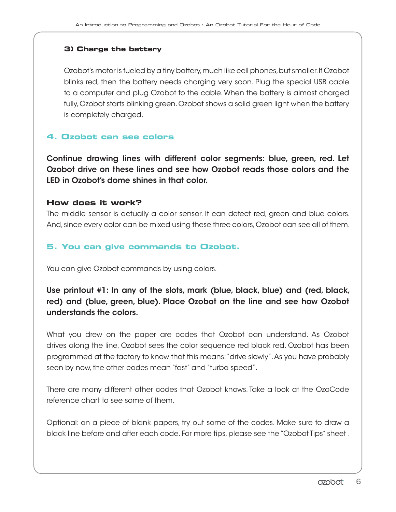#### **3) Charge the battery**

Ozobot's motor is fueled by a tiny battery, much like cell phones, but smaller. If Ozobot blinks red, then the battery needs charging very soon. Plug the special USB cable to a computer and plug Ozobot to the cable. When the battery is almost charged fully, Ozobot starts blinking green. Ozobot shows a solid green light when the battery is completely charged.

## **4. Ozobot can see colors**

Continue drawing lines with different color segments: blue, green, red. Let Ozobot drive on these lines and see how Ozobot reads those colors and the LED in Ozobot's dome shines in that color.

#### **How does it work?**

The middle sensor is actually a color sensor. It can detect red, green and blue colors. And, since every color can be mixed using these three colors, Ozobot can see all of them.

## **5. You can give commands to Ozobot.**

You can give Ozobot commands by using colors.

Use printout #1: In any of the slots, mark (blue, black, blue) and (red, black, red) and (blue, green, blue). Place Ozobot on the line and see how Ozobot understands the colors.

What you drew on the paper are codes that Ozobot can understand. As Ozobot drives along the line, Ozobot sees the color sequence red black red. Ozobot has been programmed at the factory to know that this means: "drive slowly". As you have probably seen by now, the other codes mean "fast" and "turbo speed".

There are many different other codes that Ozobot knows. Take a look at the OzoCode reference chart to see some of them.

Optional: on a piece of blank papers, try out some of the codes. Make sure to draw a black line before and after each code. For more tips, please see the "Ozobot Tips" sheet .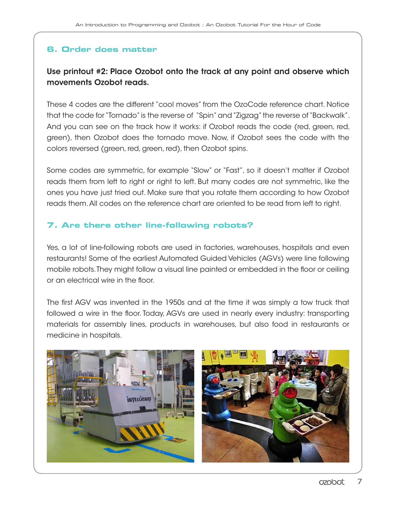## **6. Order does matter**

# Use printout #2: Place Ozobot onto the track at any point and observe which movements Ozobot reads.

These 4 codes are the different "cool moves" from the OzoCode reference chart. Notice that the code for "Tornado" is the reverse of "Spin" and "Zigzag" the reverse of "Backwalk". And you can see on the track how it works: if Ozobot reads the code (red, green, red, green), then Ozobot does the tornado move. Now, if Ozobot sees the code with the colors reversed (green, red, green, red), then Ozobot spins.

Some codes are symmetric, for example "Slow" or "Fast", so it doesn't matter if Ozobot reads them from left to right or right to left. But many codes are not symmetric, like the ones you have just tried out. Make sure that you rotate them according to how Ozobot reads them. All codes on the reference chart are oriented to be read from left to right.

## **7. Are there other line-following robots?**

Yes, a lot of line-following robots are used in factories, warehouses, hospitals and even restaurants! Some of the earliest Automated Guided Vehicles (AGVs) were line following mobile robots. They might follow a visual line painted or embedded in the floor or ceiling or an electrical wire in the floor.

The first AGV was invented in the 1950s and at the time it was simply a tow truck that followed a wire in the floor. Today, AGVs are used in nearly every industry: transporting materials for assembly lines, products in warehouses, but also food in restaurants or medicine in hospitals.

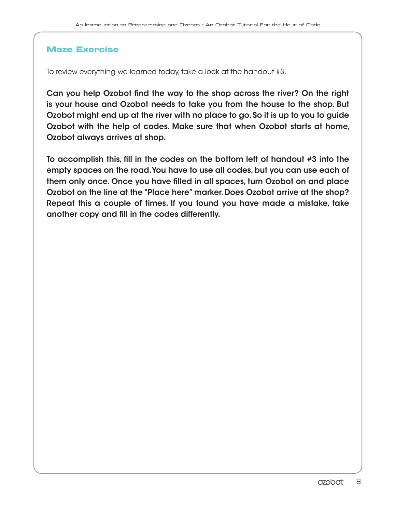#### **Maze Exercise**

To review everything we learned today, take a look at the handout #3.

Can you help Ozobot find the way to the shop across the river? On the right is your house and Ozobot needs to take you from the house to the shop. But Ozobot might end up at the river with no place to go. So it is up to you to guide Ozobot with the help of codes. Make sure that when Ozobot starts at home, Ozobot always arrives at shop.

To accomplish this, fill in the codes on the bottom left of handout #3 into the empty spaces on the road. You have to use all codes, but you can use each of them only once. Once you have filled in all spaces, turn Ozobot on and place Ozobot on the line at the "Place here" marker. Does Ozobot arrive at the shop? Repeat this a couple of times. If you found you have made a mistake, take another copy and fill in the codes differently.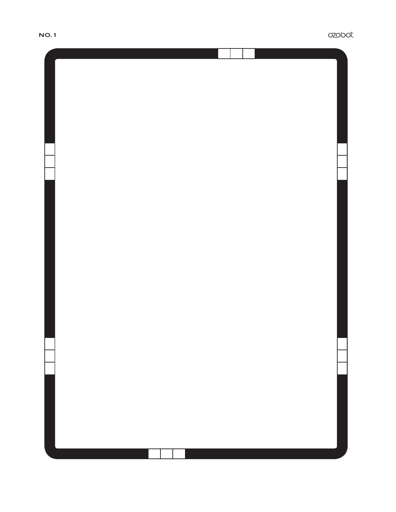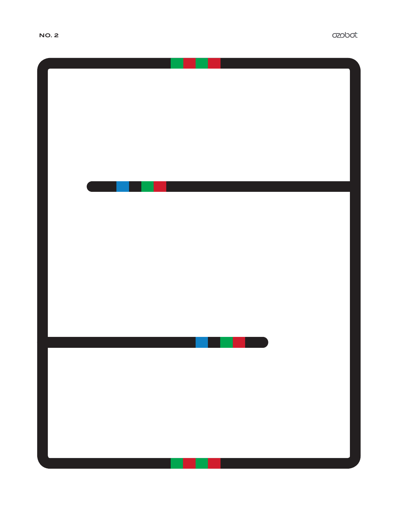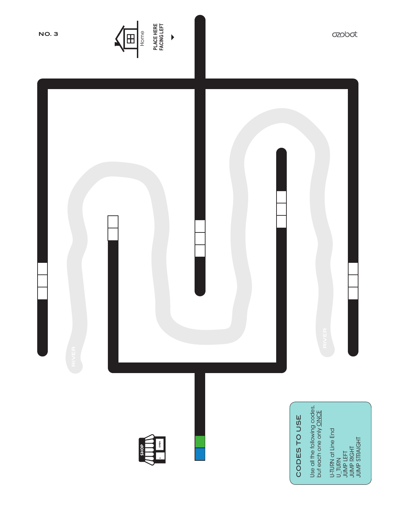